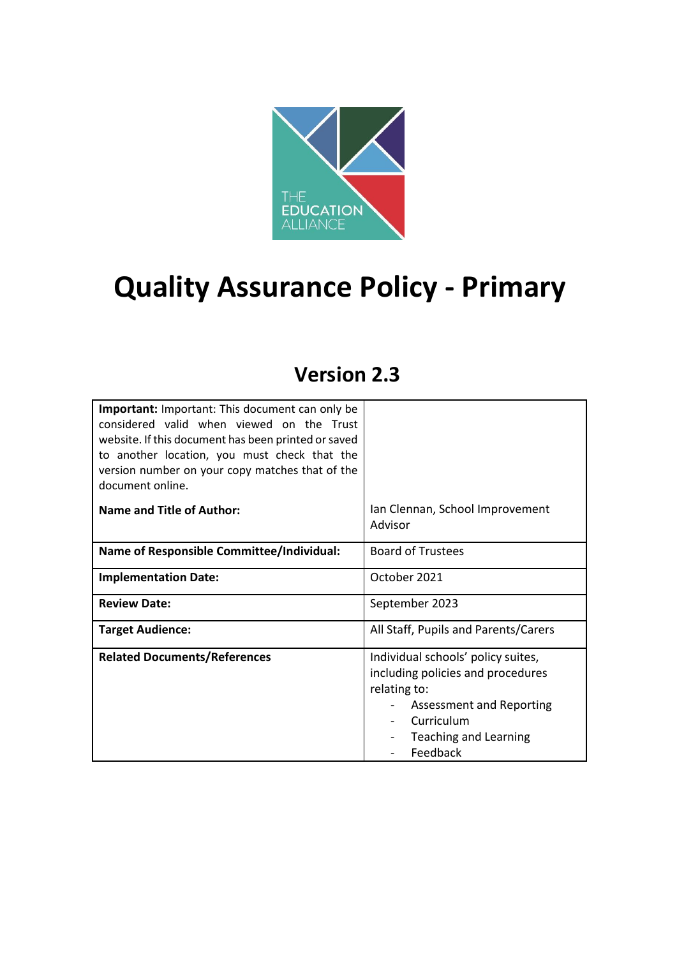

# **Quality Assurance Policy - Primary**

# **Version 2.3**

| <b>Important:</b> Important: This document can only be<br>considered valid when viewed on the Trust<br>website. If this document has been printed or saved<br>to another location, you must check that the<br>version number on your copy matches that of the<br>document online. |                                                                                                                                                                        |
|-----------------------------------------------------------------------------------------------------------------------------------------------------------------------------------------------------------------------------------------------------------------------------------|------------------------------------------------------------------------------------------------------------------------------------------------------------------------|
| Name and Title of Author:                                                                                                                                                                                                                                                         | Ian Clennan, School Improvement<br>Advisor                                                                                                                             |
| <b>Name of Responsible Committee/Individual:</b>                                                                                                                                                                                                                                  | <b>Board of Trustees</b>                                                                                                                                               |
| <b>Implementation Date:</b>                                                                                                                                                                                                                                                       | October 2021                                                                                                                                                           |
| <b>Review Date:</b>                                                                                                                                                                                                                                                               | September 2023                                                                                                                                                         |
| <b>Target Audience:</b>                                                                                                                                                                                                                                                           | All Staff, Pupils and Parents/Carers                                                                                                                                   |
| <b>Related Documents/References</b>                                                                                                                                                                                                                                               | Individual schools' policy suites,<br>including policies and procedures<br>relating to:<br>Assessment and Reporting<br>Curriculum<br>Teaching and Learning<br>Feedback |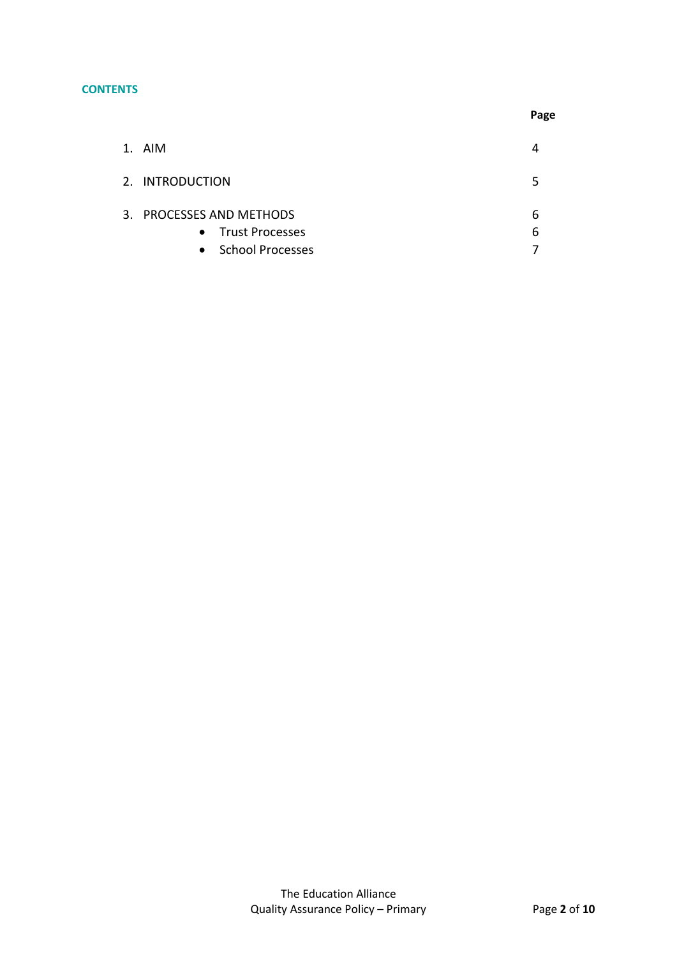#### **CONTENTS**

| 1. AIM                                                              |        |
|---------------------------------------------------------------------|--------|
| 2. INTRODUCTION                                                     |        |
| 3. PROCESSES AND METHODS<br>• Trust Processes<br>• School Processes | h<br>h |

**Page**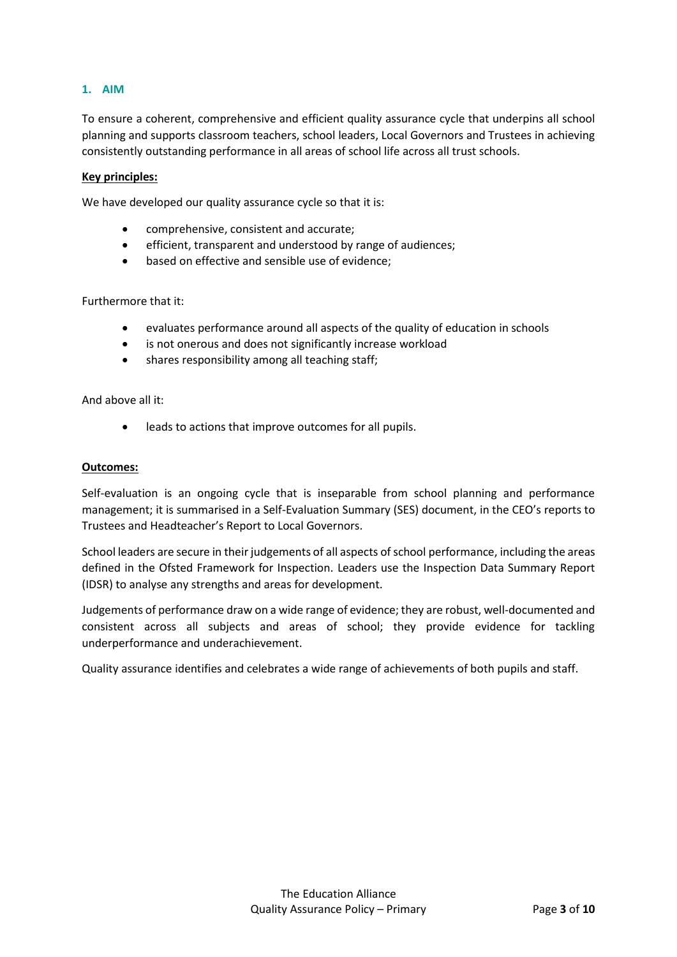# **1. AIM**

To ensure a coherent, comprehensive and efficient quality assurance cycle that underpins all school planning and supports classroom teachers, school leaders, Local Governors and Trustees in achieving consistently outstanding performance in all areas of school life across all trust schools.

#### **Key principles:**

We have developed our quality assurance cycle so that it is:

- comprehensive, consistent and accurate;
- efficient, transparent and understood by range of audiences;
- based on effective and sensible use of evidence;

#### Furthermore that it:

- evaluates performance around all aspects of the quality of education in schools
- is not onerous and does not significantly increase workload
- shares responsibility among all teaching staff;

And above all it:

leads to actions that improve outcomes for all pupils.

#### **Outcomes:**

Self-evaluation is an ongoing cycle that is inseparable from school planning and performance management; it is summarised in a Self-Evaluation Summary (SES) document, in the CEO's reports to Trustees and Headteacher's Report to Local Governors.

School leaders are secure in their judgements of all aspects of school performance, including the areas defined in the Ofsted Framework for Inspection. Leaders use the Inspection Data Summary Report (IDSR) to analyse any strengths and areas for development.

Judgements of performance draw on a wide range of evidence; they are robust, well-documented and consistent across all subjects and areas of school; they provide evidence for tackling underperformance and underachievement.

Quality assurance identifies and celebrates a wide range of achievements of both pupils and staff.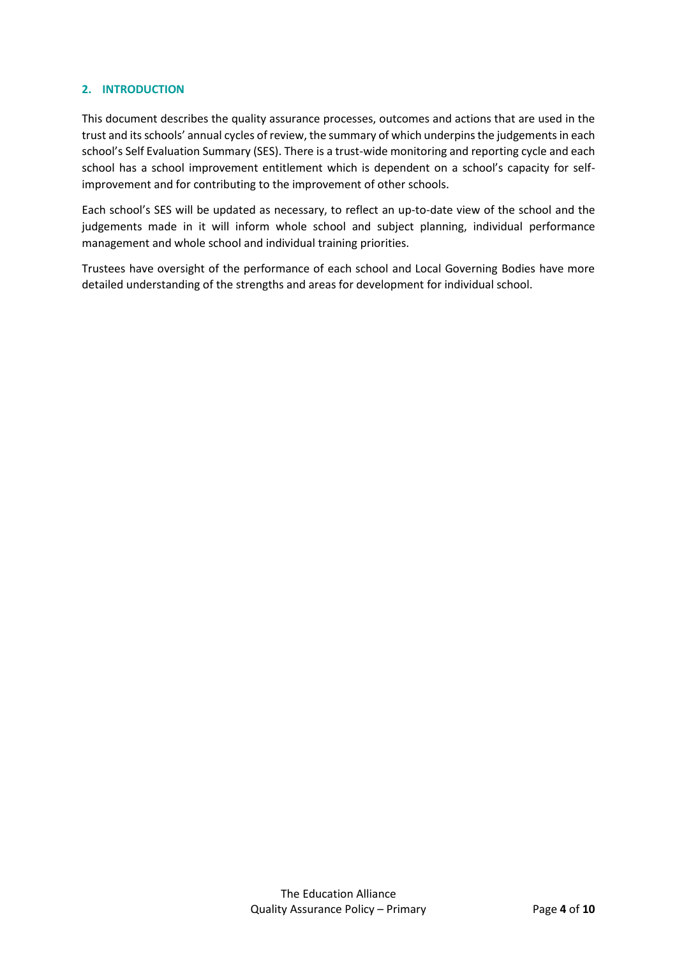#### **2. INTRODUCTION**

This document describes the quality assurance processes, outcomes and actions that are used in the trust and its schools' annual cycles of review, the summary of which underpins the judgements in each school's Self Evaluation Summary (SES). There is a trust-wide monitoring and reporting cycle and each school has a school improvement entitlement which is dependent on a school's capacity for selfimprovement and for contributing to the improvement of other schools.

Each school's SES will be updated as necessary, to reflect an up-to-date view of the school and the judgements made in it will inform whole school and subject planning, individual performance management and whole school and individual training priorities.

Trustees have oversight of the performance of each school and Local Governing Bodies have more detailed understanding of the strengths and areas for development for individual school.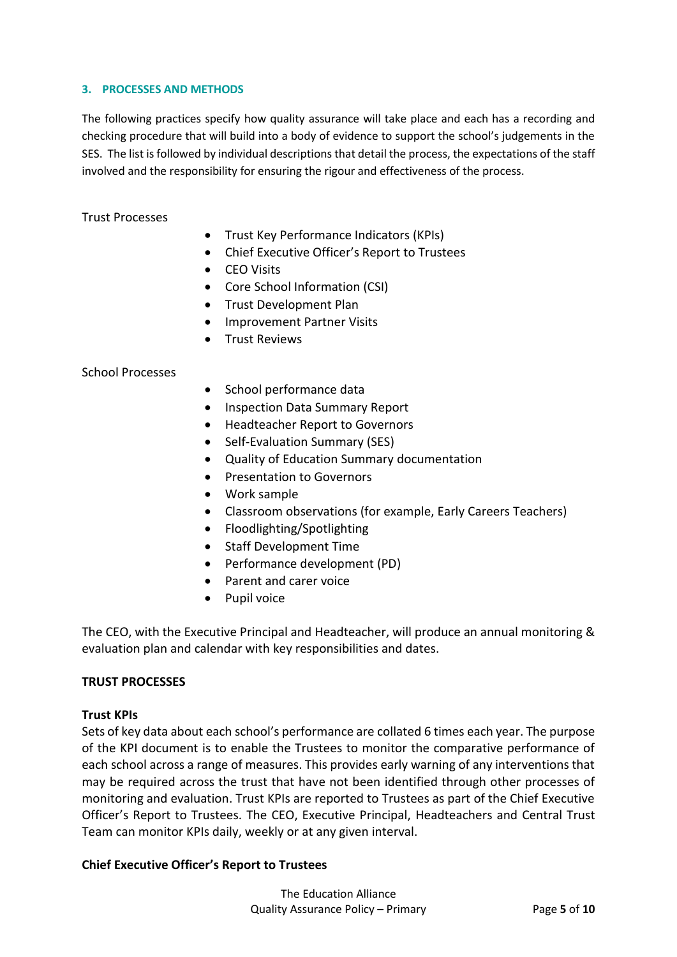#### **3. PROCESSES AND METHODS**

The following practices specify how quality assurance will take place and each has a recording and checking procedure that will build into a body of evidence to support the school's judgements in the SES. The list is followed by individual descriptions that detail the process, the expectations of the staff involved and the responsibility for ensuring the rigour and effectiveness of the process.

Trust Processes

- Trust Key Performance Indicators (KPIs)
- Chief Executive Officer's Report to Trustees
- CEO Visits
- Core School Information (CSI)
- **•** Trust Development Plan
- Improvement Partner Visits
- **•** Trust Reviews

# School Processes

- School performance data
- Inspection Data Summary Report
- Headteacher Report to Governors
- Self-Evaluation Summary (SES)
- Quality of Education Summary documentation
- Presentation to Governors
- Work sample
- Classroom observations (for example, Early Careers Teachers)
- Floodlighting/Spotlighting
- Staff Development Time
- Performance development (PD)
- Parent and carer voice
- Pupil voice

The CEO, with the Executive Principal and Headteacher, will produce an annual monitoring & evaluation plan and calendar with key responsibilities and dates.

# **TRUST PROCESSES**

# **Trust KPIs**

Sets of key data about each school's performance are collated 6 times each year. The purpose of the KPI document is to enable the Trustees to monitor the comparative performance of each school across a range of measures. This provides early warning of any interventions that may be required across the trust that have not been identified through other processes of monitoring and evaluation. Trust KPIs are reported to Trustees as part of the Chief Executive Officer's Report to Trustees. The CEO, Executive Principal, Headteachers and Central Trust Team can monitor KPIs daily, weekly or at any given interval.

# **Chief Executive Officer's Report to Trustees**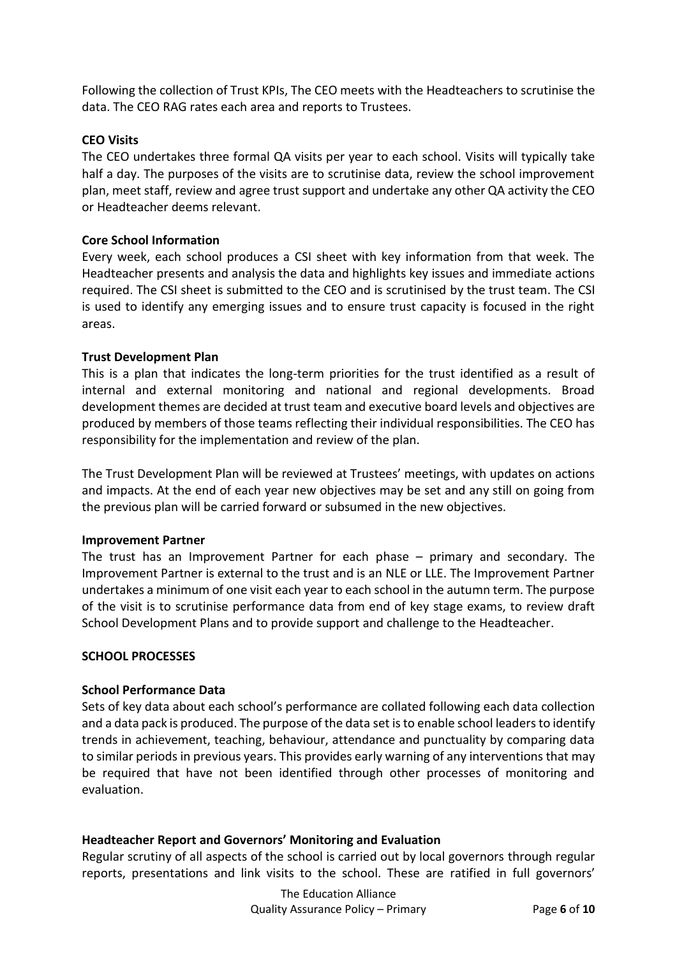Following the collection of Trust KPIs, The CEO meets with the Headteachers to scrutinise the data. The CEO RAG rates each area and reports to Trustees.

## **CEO Visits**

The CEO undertakes three formal QA visits per year to each school. Visits will typically take half a day. The purposes of the visits are to scrutinise data, review the school improvement plan, meet staff, review and agree trust support and undertake any other QA activity the CEO or Headteacher deems relevant.

#### **Core School Information**

Every week, each school produces a CSI sheet with key information from that week. The Headteacher presents and analysis the data and highlights key issues and immediate actions required. The CSI sheet is submitted to the CEO and is scrutinised by the trust team. The CSI is used to identify any emerging issues and to ensure trust capacity is focused in the right areas.

#### **Trust Development Plan**

This is a plan that indicates the long-term priorities for the trust identified as a result of internal and external monitoring and national and regional developments. Broad development themes are decided at trust team and executive board levels and objectives are produced by members of those teams reflecting their individual responsibilities. The CEO has responsibility for the implementation and review of the plan.

The Trust Development Plan will be reviewed at Trustees' meetings, with updates on actions and impacts. At the end of each year new objectives may be set and any still on going from the previous plan will be carried forward or subsumed in the new objectives.

#### **Improvement Partner**

The trust has an Improvement Partner for each phase – primary and secondary. The Improvement Partner is external to the trust and is an NLE or LLE. The Improvement Partner undertakes a minimum of one visit each year to each school in the autumn term. The purpose of the visit is to scrutinise performance data from end of key stage exams, to review draft School Development Plans and to provide support and challenge to the Headteacher.

#### **SCHOOL PROCESSES**

#### **School Performance Data**

Sets of key data about each school's performance are collated following each data collection and a data pack is produced. The purpose of the data set is to enable school leaders to identify trends in achievement, teaching, behaviour, attendance and punctuality by comparing data to similar periods in previous years. This provides early warning of any interventions that may be required that have not been identified through other processes of monitoring and evaluation.

# **Headteacher Report and Governors' Monitoring and Evaluation**

Regular scrutiny of all aspects of the school is carried out by local governors through regular reports, presentations and link visits to the school. These are ratified in full governors'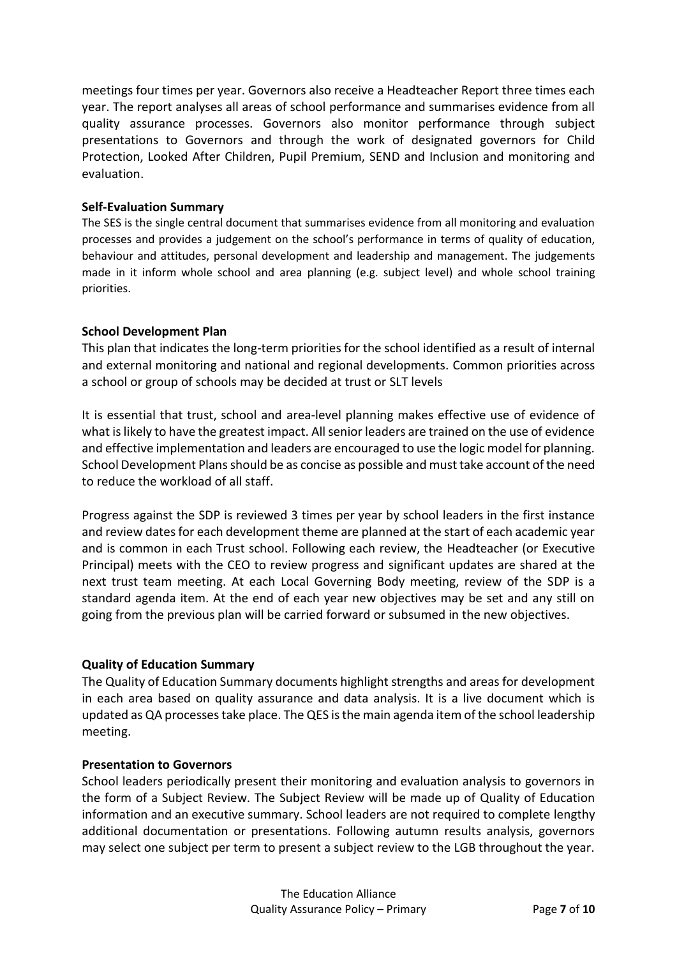meetings four times per year. Governors also receive a Headteacher Report three times each year. The report analyses all areas of school performance and summarises evidence from all quality assurance processes. Governors also monitor performance through subject presentations to Governors and through the work of designated governors for Child Protection, Looked After Children, Pupil Premium, SEND and Inclusion and monitoring and evaluation.

# **Self-Evaluation Summary**

The SES is the single central document that summarises evidence from all monitoring and evaluation processes and provides a judgement on the school's performance in terms of quality of education, behaviour and attitudes, personal development and leadership and management. The judgements made in it inform whole school and area planning (e.g. subject level) and whole school training priorities.

# **School Development Plan**

This plan that indicates the long-term priorities for the school identified as a result of internal and external monitoring and national and regional developments. Common priorities across a school or group of schools may be decided at trust or SLT levels

It is essential that trust, school and area-level planning makes effective use of evidence of what is likely to have the greatest impact. All senior leaders are trained on the use of evidence and effective implementation and leaders are encouraged to use the logic model for planning. School Development Plans should be as concise as possible and must take account of the need to reduce the workload of all staff.

Progress against the SDP is reviewed 3 times per year by school leaders in the first instance and review dates for each development theme are planned at the start of each academic year and is common in each Trust school. Following each review, the Headteacher (or Executive Principal) meets with the CEO to review progress and significant updates are shared at the next trust team meeting. At each Local Governing Body meeting, review of the SDP is a standard agenda item. At the end of each year new objectives may be set and any still on going from the previous plan will be carried forward or subsumed in the new objectives.

# **Quality of Education Summary**

The Quality of Education Summary documents highlight strengths and areas for development in each area based on quality assurance and data analysis. It is a live document which is updated as QA processes take place. The QES is the main agenda item of the school leadership meeting.

# **Presentation to Governors**

School leaders periodically present their monitoring and evaluation analysis to governors in the form of a Subject Review. The Subject Review will be made up of Quality of Education information and an executive summary. School leaders are not required to complete lengthy additional documentation or presentations. Following autumn results analysis, governors may select one subject per term to present a subject review to the LGB throughout the year.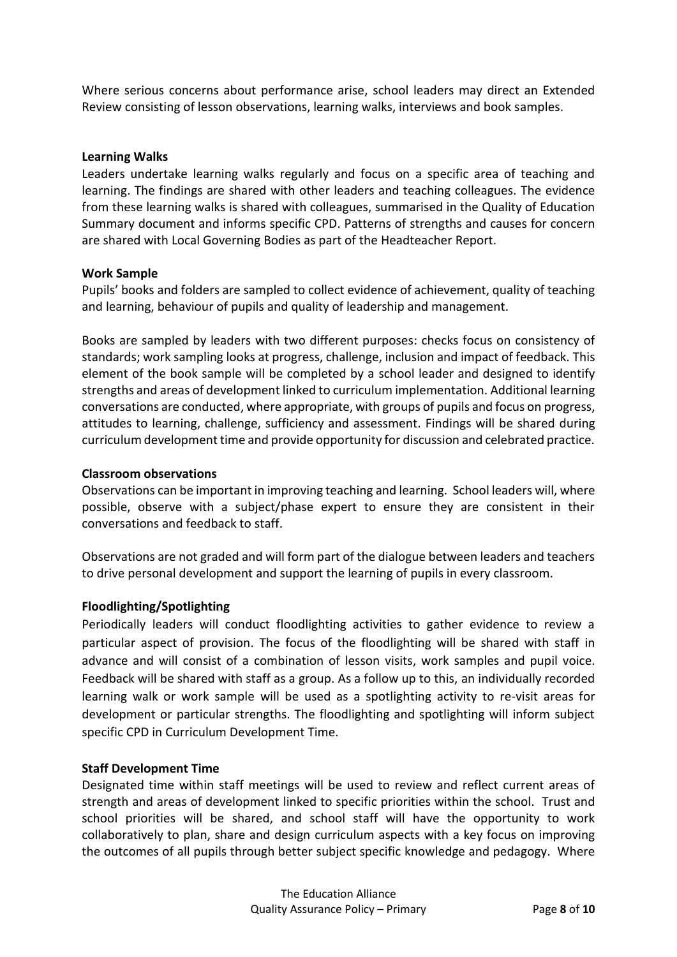Where serious concerns about performance arise, school leaders may direct an Extended Review consisting of lesson observations, learning walks, interviews and book samples.

# **Learning Walks**

Leaders undertake learning walks regularly and focus on a specific area of teaching and learning. The findings are shared with other leaders and teaching colleagues. The evidence from these learning walks is shared with colleagues, summarised in the Quality of Education Summary document and informs specific CPD. Patterns of strengths and causes for concern are shared with Local Governing Bodies as part of the Headteacher Report.

# **Work Sample**

Pupils' books and folders are sampled to collect evidence of achievement, quality of teaching and learning, behaviour of pupils and quality of leadership and management.

Books are sampled by leaders with two different purposes: checks focus on consistency of standards; work sampling looks at progress, challenge, inclusion and impact of feedback. This element of the book sample will be completed by a school leader and designed to identify strengths and areas of development linked to curriculum implementation. Additional learning conversations are conducted, where appropriate, with groups of pupils and focus on progress, attitudes to learning, challenge, sufficiency and assessment. Findings will be shared during curriculum development time and provide opportunity for discussion and celebrated practice.

# **Classroom observations**

Observations can be important in improving teaching and learning. School leaders will, where possible, observe with a subject/phase expert to ensure they are consistent in their conversations and feedback to staff.

Observations are not graded and will form part of the dialogue between leaders and teachers to drive personal development and support the learning of pupils in every classroom.

# **Floodlighting/Spotlighting**

Periodically leaders will conduct floodlighting activities to gather evidence to review a particular aspect of provision. The focus of the floodlighting will be shared with staff in advance and will consist of a combination of lesson visits, work samples and pupil voice. Feedback will be shared with staff as a group. As a follow up to this, an individually recorded learning walk or work sample will be used as a spotlighting activity to re-visit areas for development or particular strengths. The floodlighting and spotlighting will inform subject specific CPD in Curriculum Development Time.

# **Staff Development Time**

Designated time within staff meetings will be used to review and reflect current areas of strength and areas of development linked to specific priorities within the school. Trust and school priorities will be shared, and school staff will have the opportunity to work collaboratively to plan, share and design curriculum aspects with a key focus on improving the outcomes of all pupils through better subject specific knowledge and pedagogy. Where